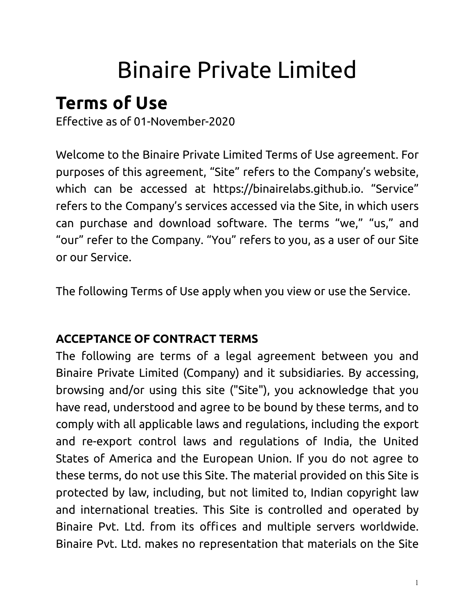# Binaire Private Limited

# **Terms of Use**

Effective as of 01-November-2020

Welcome to the Binaire Private Limited Terms of Use agreement. For purposes of this agreement, "Site" refers to the Company's website, which can be accessed at https://binairelabs.github.io. "Service" refers to the Company's services accessed via the Site, in which users can purchase and download software. The terms "we," "us," and "our" refer to the Company. "You" refers to you, as a user of our Site or our Service.

The following Terms of Use apply when you view or use the Service.

# **ACCEPTANCE OF CONTRACT TERMS**

The following are terms of a legal agreement between you and Binaire Private Limited (Company) and it subsidiaries. By accessing, browsing and/or using this site ("Site"), you acknowledge that you have read, understood and agree to be bound by these terms, and to comply with all applicable laws and regulations, including the export and re-export control laws and regulations of India, the United States of America and the European Union. If you do not agree to these terms, do not use this Site. The material provided on this Site is protected by law, including, but not limited to, Indian copyright law and international treaties. This Site is controlled and operated by Binaire Pvt. Ltd. from its offices and multiple servers worldwide. Binaire Pvt. Ltd. makes no representation that materials on the Site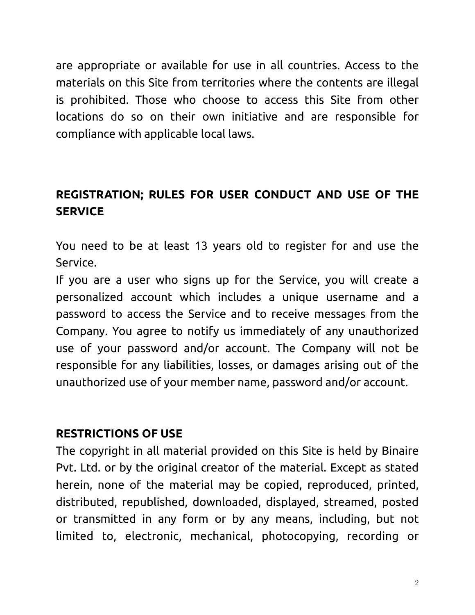are appropriate or available for use in all countries. Access to the materials on this Site from territories where the contents are illegal is prohibited. Those who choose to access this Site from other locations do so on their own initiative and are responsible for compliance with applicable local laws.

# **REGISTRATION; RULES FOR USER CONDUCT AND USE OF THE SERVICE**

You need to be at least 13 years old to register for and use the Service.

If you are a user who signs up for the Service, you will create a personalized account which includes a unique username and a password to access the Service and to receive messages from the Company. You agree to notify us immediately of any unauthorized use of your password and/or account. The Company will not be responsible for any liabilities, losses, or damages arising out of the unauthorized use of your member name, password and/or account.

#### **RESTRICTIONS OF USE**

The copyright in all material provided on this Site is held by Binaire Pvt. Ltd. or by the original creator of the material. Except as stated herein, none of the material may be copied, reproduced, printed, distributed, republished, downloaded, displayed, streamed, posted or transmitted in any form or by any means, including, but not limited to, electronic, mechanical, photocopying, recording or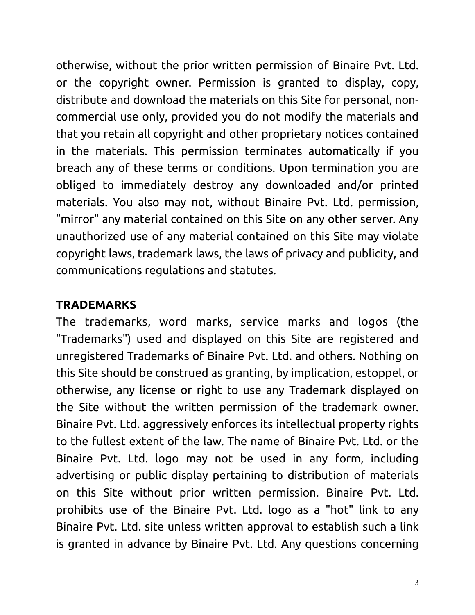otherwise, without the prior written permission of Binaire Pvt. Ltd. or the copyright owner. Permission is granted to display, copy, distribute and download the materials on this Site for personal, noncommercial use only, provided you do not modify the materials and that you retain all copyright and other proprietary notices contained in the materials. This permission terminates automatically if you breach any of these terms or conditions. Upon termination you are obliged to immediately destroy any downloaded and/or printed materials. You also may not, without Binaire Pvt. Ltd. permission, "mirror" any material contained on this Site on any other server. Any unauthorized use of any material contained on this Site may violate copyright laws, trademark laws, the laws of privacy and publicity, and communications regulations and statutes.

#### **TRADEMARKS**

The trademarks, word marks, service marks and logos (the "Trademarks") used and displayed on this Site are registered and unregistered Trademarks of Binaire Pvt. Ltd. and others. Nothing on this Site should be construed as granting, by implication, estoppel, or otherwise, any license or right to use any Trademark displayed on the Site without the written permission of the trademark owner. Binaire Pvt. Ltd. aggressively enforces its intellectual property rights to the fullest extent of the law. The name of Binaire Pvt. Ltd. or the Binaire Pvt. Ltd. logo may not be used in any form, including advertising or public display pertaining to distribution of materials on this Site without prior written permission. Binaire Pvt. Ltd. prohibits use of the Binaire Pvt. Ltd. logo as a "hot" link to any Binaire Pvt. Ltd. site unless written approval to establish such a link is granted in advance by Binaire Pvt. Ltd. Any questions concerning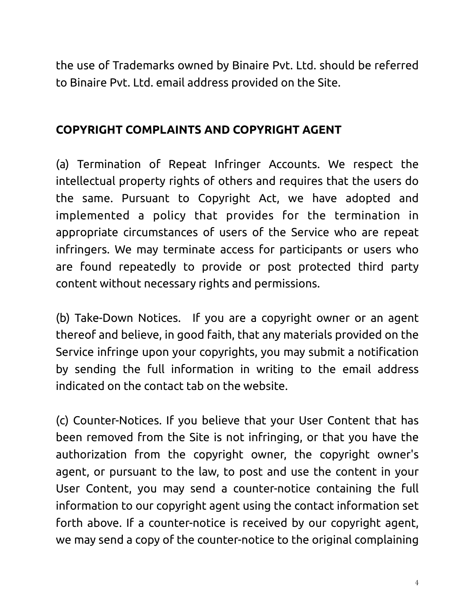the use of Trademarks owned by Binaire Pvt. Ltd. should be referred to Binaire Pvt. Ltd. email address provided on the Site.

#### **COPYRIGHT COMPLAINTS AND COPYRIGHT AGENT**

(a) Termination of Repeat Infringer Accounts. We respect the intellectual property rights of others and requires that the users do the same. Pursuant to Copyright Act, we have adopted and implemented a policy that provides for the termination in appropriate circumstances of users of the Service who are repeat infringers. We may terminate access for participants or users who are found repeatedly to provide or post protected third party content without necessary rights and permissions.

(b) Take-Down Notices. If you are a copyright owner or an agent thereof and believe, in good faith, that any materials provided on the Service infringe upon your copyrights, you may submit a notification by sending the full information in writing to the email address indicated on the contact tab on the website.

(c) Counter-Notices. If you believe that your User Content that has been removed from the Site is not infringing, or that you have the authorization from the copyright owner, the copyright owner's agent, or pursuant to the law, to post and use the content in your User Content, you may send a counter-notice containing the full information to our copyright agent using the contact information set forth above. If a counter-notice is received by our copyright agent, we may send a copy of the counter-notice to the original complaining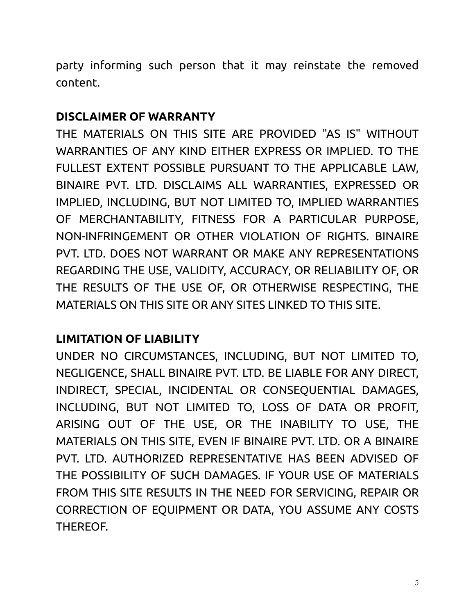party informing such person that it may reinstate the removed content.

#### **DISCLAIMER OF WARRANTY**

THE MATERIALS ON THIS SITE ARE PROVIDED "AS IS" WITHOUT WARRANTIES OF ANY KIND EITHER EXPRESS OR IMPLIED. TO THE FULLEST EXTENT POSSIBLE PURSUANT TO THE APPLICABLE LAW, BINAIRE PVT. LTD. DISCLAIMS ALL WARRANTIES, EXPRESSED OR IMPLIED, INCLUDING, BUT NOT LIMITED TO, IMPLIED WARRANTIES OF MERCHANTABILITY, FITNESS FOR A PARTICULAR PURPOSE, NON-INFRINGEMENT OR OTHER VIOLATION OF RIGHTS. BINAIRE PVT. LTD. DOES NOT WARRANT OR MAKE ANY REPRESENTATIONS REGARDING THE USE, VALIDITY, ACCURACY, OR RELIABILITY OF, OR THE RESULTS OF THE USE OF, OR OTHERWISE RESPECTING, THE MATERIALS ON THIS SITE OR ANY SITES LINKED TO THIS SITE.

## **LIMITATION OF LIABILITY**

UNDER NO CIRCUMSTANCES, INCLUDING, BUT NOT LIMITED TO, NEGLIGENCE, SHALL BINAIRE PVT. LTD. BE LIABLE FOR ANY DIRECT, INDIRECT, SPECIAL, INCIDENTAL OR CONSEQUENTIAL DAMAGES, INCLUDING, BUT NOT LIMITED TO, LOSS OF DATA OR PROFIT, ARISING OUT OF THE USE, OR THE INABILITY TO USE, THE MATERIALS ON THIS SITE, EVEN IF BINAIRE PVT. LTD. OR A BINAIRE PVT. LTD. AUTHORIZED REPRESENTATIVE HAS BEEN ADVISED OF THE POSSIBILITY OF SUCH DAMAGES. IF YOUR USE OF MATERIALS FROM THIS SITE RESULTS IN THE NEED FOR SERVICING, REPAIR OR CORRECTION OF EQUIPMENT OR DATA, YOU ASSUME ANY COSTS THEREOF.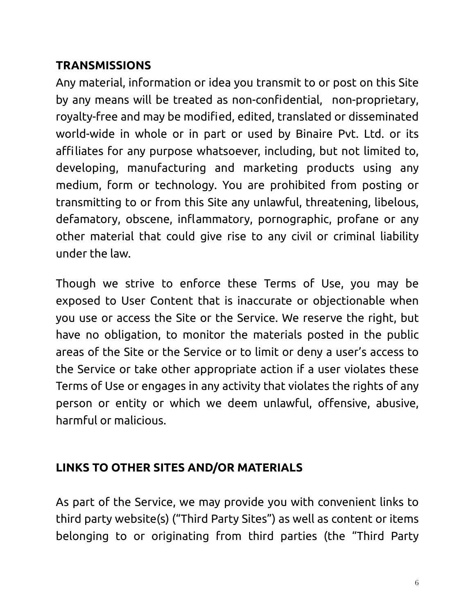## **TRANSMISSIONS**

Any material, information or idea you transmit to or post on this Site by any means will be treated as non-confidential, non-proprietary, royalty-free and may be modified, edited, translated or disseminated world-wide in whole or in part or used by Binaire Pvt. Ltd. or its affiliates for any purpose whatsoever, including, but not limited to, developing, manufacturing and marketing products using any medium, form or technology. You are prohibited from posting or transmitting to or from this Site any unlawful, threatening, libelous, defamatory, obscene, inflammatory, pornographic, profane or any other material that could give rise to any civil or criminal liability under the law.

Though we strive to enforce these Terms of Use, you may be exposed to User Content that is inaccurate or objectionable when you use or access the Site or the Service. We reserve the right, but have no obligation, to monitor the materials posted in the public areas of the Site or the Service or to limit or deny a user's access to the Service or take other appropriate action if a user violates these Terms of Use or engages in any activity that violates the rights of any person or entity or which we deem unlawful, offensive, abusive, harmful or malicious.

## **LINKS TO OTHER SITES AND/OR MATERIALS**

As part of the Service, we may provide you with convenient links to third party website(s) ("Third Party Sites") as well as content or items belonging to or originating from third parties (the "Third Party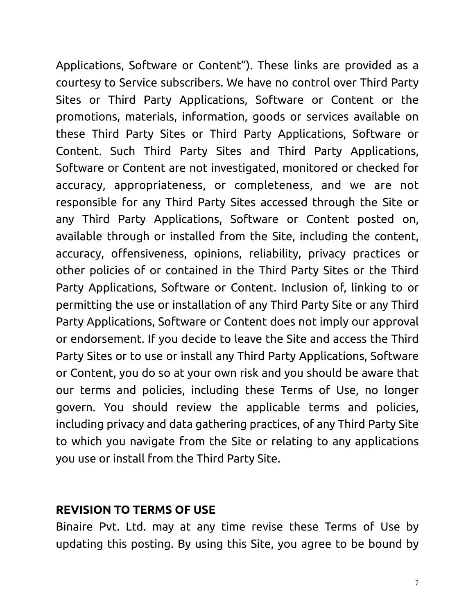Applications, Software or Content"). These links are provided as a courtesy to Service subscribers. We have no control over Third Party Sites or Third Party Applications, Software or Content or the promotions, materials, information, goods or services available on these Third Party Sites or Third Party Applications, Software or Content. Such Third Party Sites and Third Party Applications, Software or Content are not investigated, monitored or checked for accuracy, appropriateness, or completeness, and we are not responsible for any Third Party Sites accessed through the Site or any Third Party Applications, Software or Content posted on, available through or installed from the Site, including the content, accuracy, offensiveness, opinions, reliability, privacy practices or other policies of or contained in the Third Party Sites or the Third Party Applications, Software or Content. Inclusion of, linking to or permitting the use or installation of any Third Party Site or any Third Party Applications, Software or Content does not imply our approval or endorsement. If you decide to leave the Site and access the Third Party Sites or to use or install any Third Party Applications, Software or Content, you do so at your own risk and you should be aware that our terms and policies, including these Terms of Use, no longer govern. You should review the applicable terms and policies, including privacy and data gathering practices, of any Third Party Site to which you navigate from the Site or relating to any applications you use or install from the Third Party Site.

#### **REVISION TO TERMS OF USE**

Binaire Pvt. Ltd. may at any time revise these Terms of Use by updating this posting. By using this Site, you agree to be bound by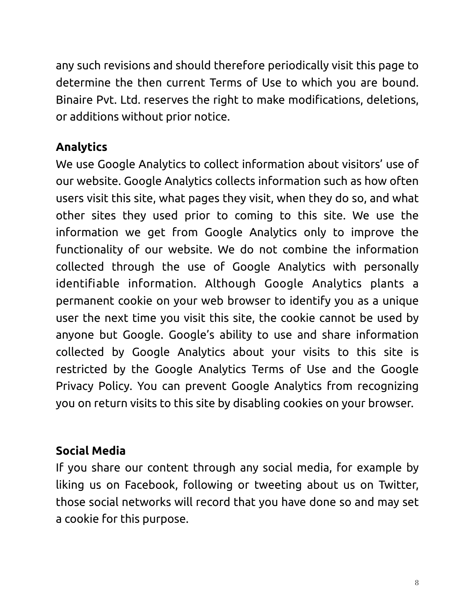any such revisions and should therefore periodically visit this page to determine the then current Terms of Use to which you are bound. Binaire Pvt. Ltd. reserves the right to make modifications, deletions, or additions without prior notice.

# **Analytics**

We use Google Analytics to collect information about visitors' use of our website. Google Analytics collects information such as how often users visit this site, what pages they visit, when they do so, and what other sites they used prior to coming to this site. We use the information we get from Google Analytics only to improve the functionality of our website. We do not combine the information collected through the use of Google Analytics with personally identifiable information. Although Google Analytics plants a permanent cookie on your web browser to identify you as a unique user the next time you visit this site, the cookie cannot be used by anyone but Google. Google's ability to use and share information collected by Google Analytics about your visits to this site is restricted by the [Google Analytics Terms of Use](http://www.google.com/analytics/tos.html) and the [Google](http://www.google.com/privacypolicy.html) [Privacy Policy](http://www.google.com/privacypolicy.html). You can prevent Google Analytics from recognizing you on return visits to this site by [disabling cookies](http://www.usa.gov/optout_instructions.shtml) on your browser.

## **Social Media**

If you share our content through any social media, for example by liking us on Facebook, following or tweeting about us on Twitter, those social networks will record that you have done so and may set a cookie for this purpose.